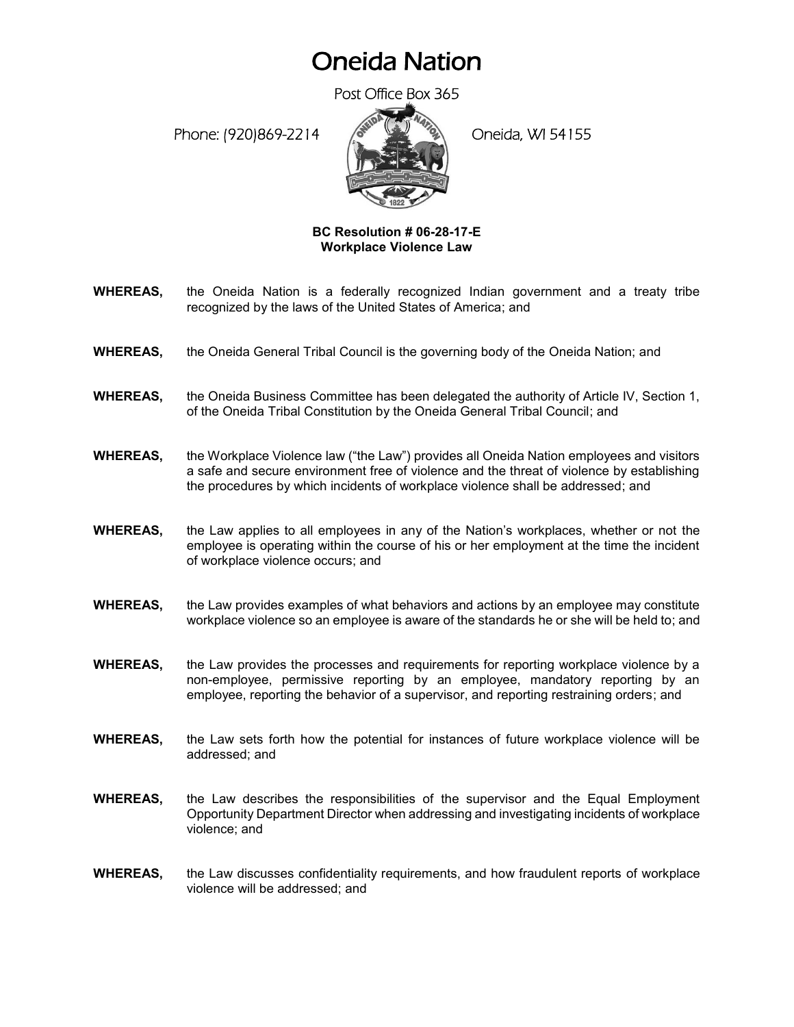## Oneida Nation

Post Office Box 365

Phone: (920)869-2214 (Oneida, WI 54155



## **BC Resolution # 06-28-17-E Workplace Violence Law**

- **WHEREAS,** the Oneida Nation is a federally recognized Indian government and a treaty tribe recognized by the laws of the United States of America; and
- **WHEREAS,** the Oneida General Tribal Council is the governing body of the Oneida Nation; and
- **WHEREAS,** the Oneida Business Committee has been delegated the authority of Article IV, Section 1, of the Oneida Tribal Constitution by the Oneida General Tribal Council; and
- **WHEREAS,** the Workplace Violence law ("the Law") provides all Oneida Nation employees and visitors a safe and secure environment free of violence and the threat of violence by establishing the procedures by which incidents of workplace violence shall be addressed; and
- **WHEREAS,** the Law applies to all employees in any of the Nation's workplaces, whether or not the employee is operating within the course of his or her employment at the time the incident of workplace violence occurs; and
- **WHEREAS,** the Law provides examples of what behaviors and actions by an employee may constitute workplace violence so an employee is aware of the standards he or she will be held to; and
- **WHEREAS,** the Law provides the processes and requirements for reporting workplace violence by a non-employee, permissive reporting by an employee, mandatory reporting by an employee, reporting the behavior of a supervisor, and reporting restraining orders; and
- **WHEREAS,** the Law sets forth how the potential for instances of future workplace violence will be addressed; and
- **WHEREAS,** the Law describes the responsibilities of the supervisor and the Equal Employment Opportunity Department Director when addressing and investigating incidents of workplace violence; and
- **WHEREAS,** the Law discusses confidentiality requirements, and how fraudulent reports of workplace violence will be addressed; and